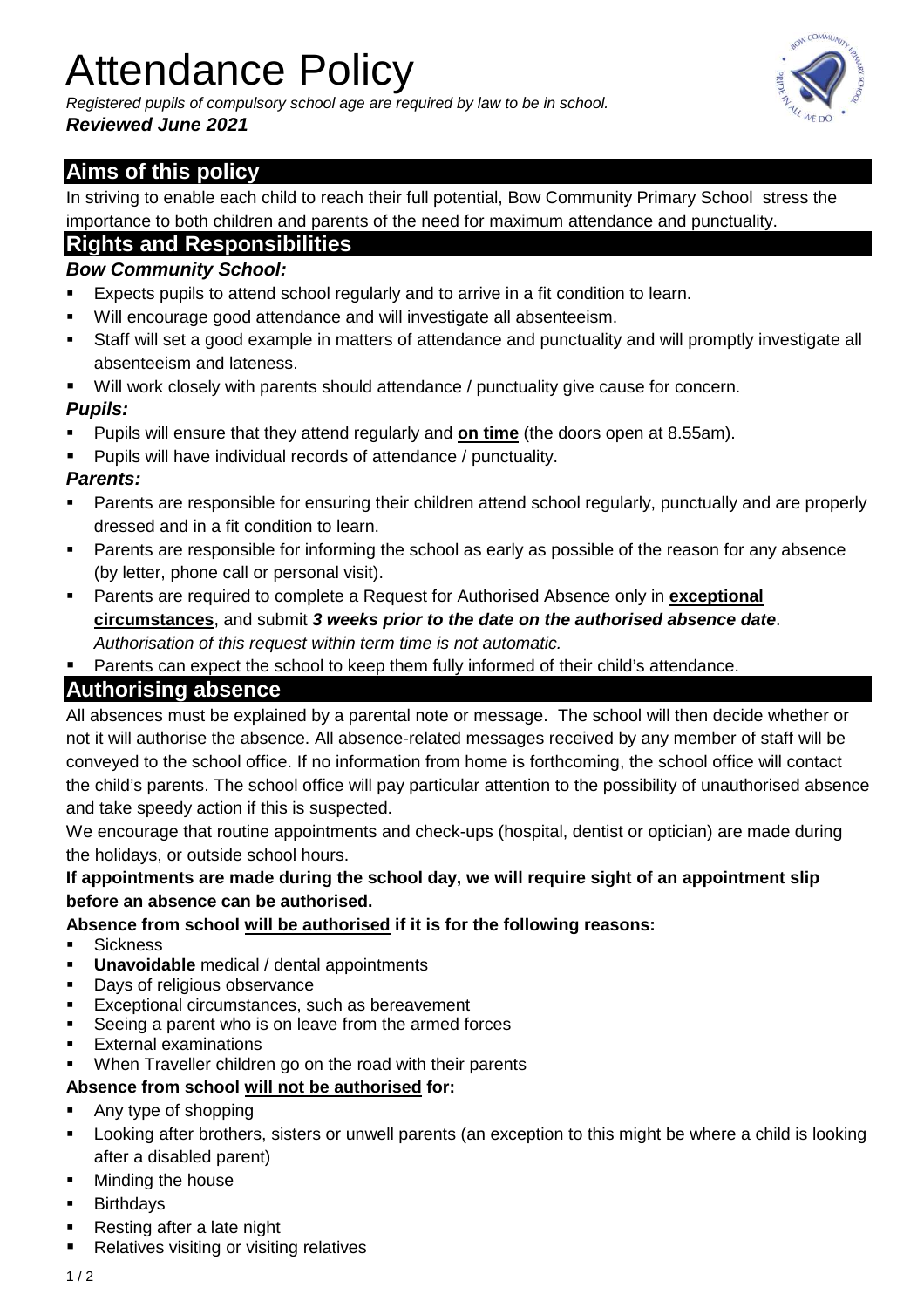# Attendance Policy

Registered pupils of compulsory school age are required by law to be in school. **Reviewed June 2021** 



## **Aims of this policy**

In striving to enable each child to reach their full potential, Bow Community Primary School stress the importance to both children and parents of the need for maximum attendance and punctuality.

## **Rights and Responsibilities**

### **Bow Community School:**

- Expects pupils to attend school regularly and to arrive in a fit condition to learn.
- Will encourage good attendance and will investigate all absenteeism.
- Staff will set a good example in matters of attendance and punctuality and will promptly investigate all absenteeism and lateness.
- Will work closely with parents should attendance / punctuality give cause for concern.

## **Pupils:**

- Pupils will ensure that they attend regularly and **on time** (the doors open at 8.55am).
- **Pupils will have individual records of attendance / punctuality.**

#### **Parents:**

- **Parents are responsible for ensuring their children attend school regularly, punctually and are properly** dressed and in a fit condition to learn.
- Parents are responsible for informing the school as early as possible of the reason for any absence (by letter, phone call or personal visit).
- Parents are required to complete a Request for Authorised Absence only in **exceptional circumstances**, and submit **3 weeks prior to the date on the authorised absence date**. Authorisation of this request within term time is not automatic.
- Parents can expect the school to keep them fully informed of their child's attendance.

## **Authorising absence**

All absences must be explained by a parental note or message. The school will then decide whether or not it will authorise the absence. All absence-related messages received by any member of staff will be conveyed to the school office. If no information from home is forthcoming, the school office will contact the child's parents. The school office will pay particular attention to the possibility of unauthorised absence and take speedy action if this is suspected.

We encourage that routine appointments and check-ups (hospital, dentist or optician) are made during the holidays, or outside school hours.

#### **If appointments are made during the school day, we will require sight of an appointment slip before an absence can be authorised.**

#### **Absence from school will be authorised if it is for the following reasons:**

- **Sickness**
- **Unavoidable** medical / dental appointments
- **Days of religious observance**
- **Exceptional circumstances, such as bereavement**
- Seeing a parent who is on leave from the armed forces
- External examinations
- When Traveller children go on the road with their parents

#### **Absence from school will not be authorised for:**

- Any type of shopping
- **EXT** Looking after brothers, sisters or unwell parents (an exception to this might be where a child is looking after a disabled parent)
- **Minding the house**
- Birthdays
- **Resting after a late night**
- **Relatives visiting or visiting relatives**